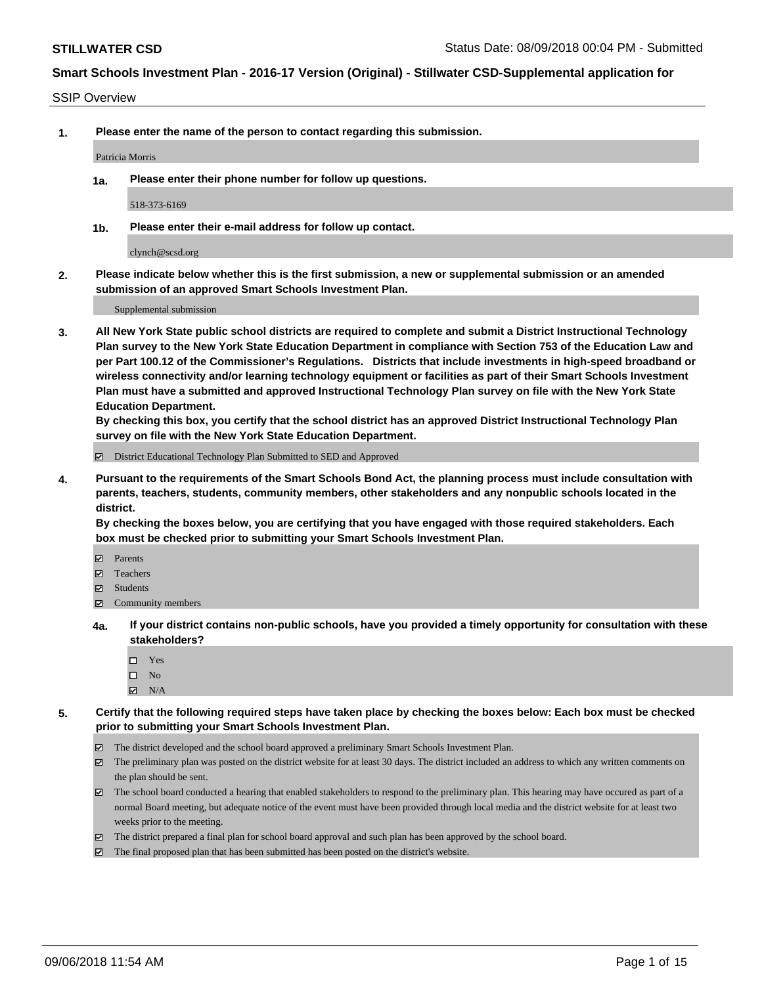#### SSIP Overview

**1. Please enter the name of the person to contact regarding this submission.**

Patricia Morris

**1a. Please enter their phone number for follow up questions.**

518-373-6169

**1b. Please enter their e-mail address for follow up contact.**

clynch@scsd.org

**2. Please indicate below whether this is the first submission, a new or supplemental submission or an amended submission of an approved Smart Schools Investment Plan.**

Supplemental submission

**3. All New York State public school districts are required to complete and submit a District Instructional Technology Plan survey to the New York State Education Department in compliance with Section 753 of the Education Law and per Part 100.12 of the Commissioner's Regulations. Districts that include investments in high-speed broadband or wireless connectivity and/or learning technology equipment or facilities as part of their Smart Schools Investment Plan must have a submitted and approved Instructional Technology Plan survey on file with the New York State Education Department.** 

**By checking this box, you certify that the school district has an approved District Instructional Technology Plan survey on file with the New York State Education Department.**

District Educational Technology Plan Submitted to SED and Approved

**4. Pursuant to the requirements of the Smart Schools Bond Act, the planning process must include consultation with parents, teachers, students, community members, other stakeholders and any nonpublic schools located in the district.** 

**By checking the boxes below, you are certifying that you have engaged with those required stakeholders. Each box must be checked prior to submitting your Smart Schools Investment Plan.**

- **Parents**
- Teachers
- **☑** Students
- **☑** Community members
- **4a. If your district contains non-public schools, have you provided a timely opportunity for consultation with these stakeholders?**
	- Yes
	- $\square$  No
	- $\boxtimes$  N/A
- **5. Certify that the following required steps have taken place by checking the boxes below: Each box must be checked prior to submitting your Smart Schools Investment Plan.**
	- The district developed and the school board approved a preliminary Smart Schools Investment Plan.
	- $\boxtimes$  The preliminary plan was posted on the district website for at least 30 days. The district included an address to which any written comments on the plan should be sent.
	- The school board conducted a hearing that enabled stakeholders to respond to the preliminary plan. This hearing may have occured as part of a normal Board meeting, but adequate notice of the event must have been provided through local media and the district website for at least two weeks prior to the meeting.
	- The district prepared a final plan for school board approval and such plan has been approved by the school board.
	- The final proposed plan that has been submitted has been posted on the district's website.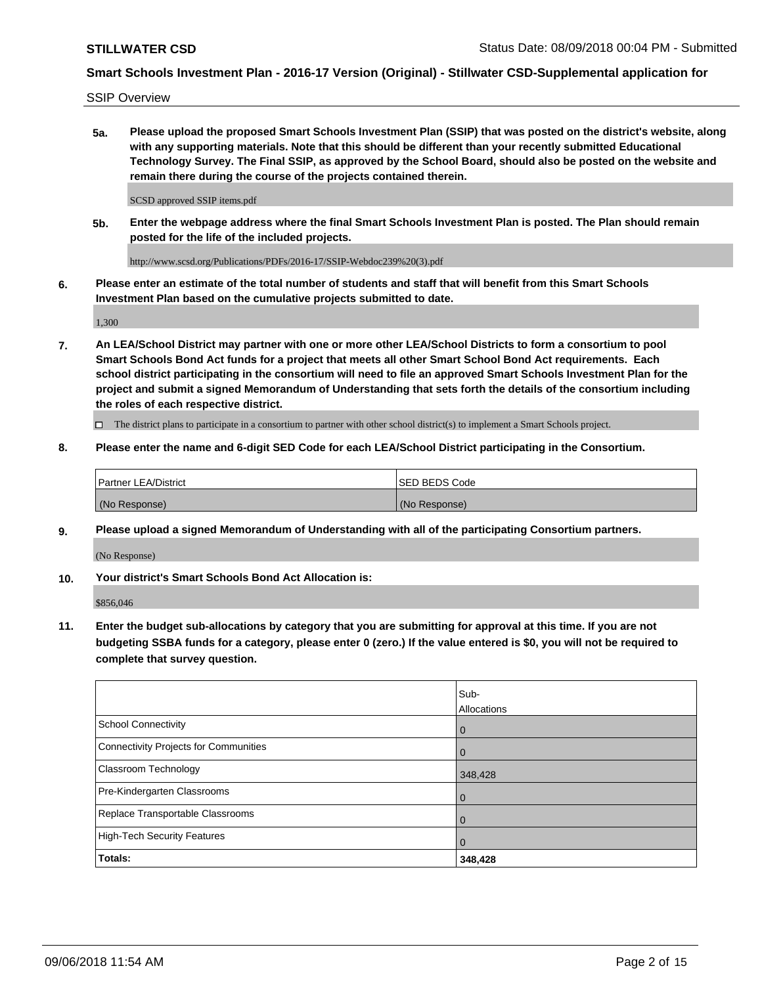SSIP Overview

**5a. Please upload the proposed Smart Schools Investment Plan (SSIP) that was posted on the district's website, along with any supporting materials. Note that this should be different than your recently submitted Educational Technology Survey. The Final SSIP, as approved by the School Board, should also be posted on the website and remain there during the course of the projects contained therein.**

SCSD approved SSIP items.pdf

**5b. Enter the webpage address where the final Smart Schools Investment Plan is posted. The Plan should remain posted for the life of the included projects.**

http://www.scsd.org/Publications/PDFs/2016-17/SSIP-Webdoc239%20(3).pdf

**6. Please enter an estimate of the total number of students and staff that will benefit from this Smart Schools Investment Plan based on the cumulative projects submitted to date.**

1,300

**7. An LEA/School District may partner with one or more other LEA/School Districts to form a consortium to pool Smart Schools Bond Act funds for a project that meets all other Smart School Bond Act requirements. Each school district participating in the consortium will need to file an approved Smart Schools Investment Plan for the project and submit a signed Memorandum of Understanding that sets forth the details of the consortium including the roles of each respective district.**

 $\Box$  The district plans to participate in a consortium to partner with other school district(s) to implement a Smart Schools project.

### **8. Please enter the name and 6-digit SED Code for each LEA/School District participating in the Consortium.**

| <b>Partner LEA/District</b> | <b>ISED BEDS Code</b> |
|-----------------------------|-----------------------|
| (No Response)               | (No Response)         |

### **9. Please upload a signed Memorandum of Understanding with all of the participating Consortium partners.**

(No Response)

**10. Your district's Smart Schools Bond Act Allocation is:**

\$856,046

**11. Enter the budget sub-allocations by category that you are submitting for approval at this time. If you are not budgeting SSBA funds for a category, please enter 0 (zero.) If the value entered is \$0, you will not be required to complete that survey question.**

|                                       | Sub-<br>Allocations |
|---------------------------------------|---------------------|
| <b>School Connectivity</b>            | $\mathbf 0$         |
| Connectivity Projects for Communities | $\Omega$            |
| Classroom Technology                  | 348,428             |
| Pre-Kindergarten Classrooms           | 0                   |
| Replace Transportable Classrooms      | 0                   |
| High-Tech Security Features           | $\Omega$            |
| Totals:                               | 348,428             |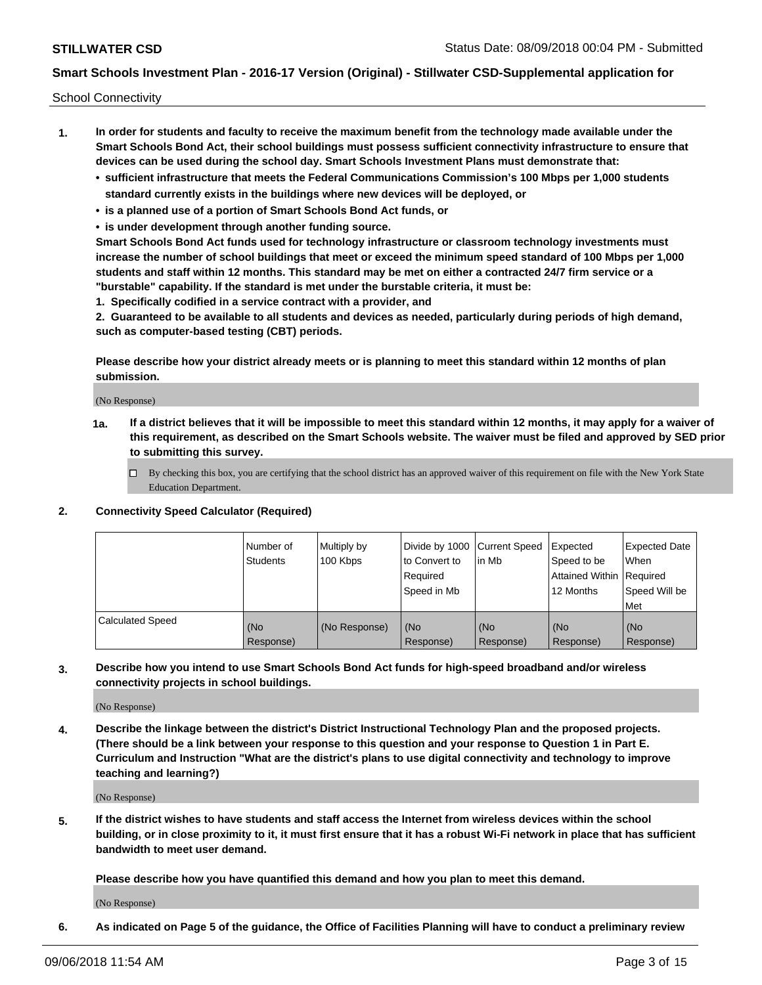School Connectivity

- **1. In order for students and faculty to receive the maximum benefit from the technology made available under the Smart Schools Bond Act, their school buildings must possess sufficient connectivity infrastructure to ensure that devices can be used during the school day. Smart Schools Investment Plans must demonstrate that:**
	- **• sufficient infrastructure that meets the Federal Communications Commission's 100 Mbps per 1,000 students standard currently exists in the buildings where new devices will be deployed, or**
	- **• is a planned use of a portion of Smart Schools Bond Act funds, or**
	- **• is under development through another funding source.**

**Smart Schools Bond Act funds used for technology infrastructure or classroom technology investments must increase the number of school buildings that meet or exceed the minimum speed standard of 100 Mbps per 1,000 students and staff within 12 months. This standard may be met on either a contracted 24/7 firm service or a "burstable" capability. If the standard is met under the burstable criteria, it must be:**

**1. Specifically codified in a service contract with a provider, and**

**2. Guaranteed to be available to all students and devices as needed, particularly during periods of high demand, such as computer-based testing (CBT) periods.**

**Please describe how your district already meets or is planning to meet this standard within 12 months of plan submission.**

(No Response)

**1a. If a district believes that it will be impossible to meet this standard within 12 months, it may apply for a waiver of this requirement, as described on the Smart Schools website. The waiver must be filed and approved by SED prior to submitting this survey.**

 $\Box$  By checking this box, you are certifying that the school district has an approved waiver of this requirement on file with the New York State Education Department.

### **2. Connectivity Speed Calculator (Required)**

|                         | Number of<br>Students | Multiply by<br>100 Kbps | Divide by 1000 Current Speed<br>to Convert to<br>Required<br>Speed in Mb | lin Mb             | Expected<br>Speed to be<br>Attained Within   Required<br>12 Months | <b>Expected Date</b><br><b>When</b><br>Speed Will be<br>Met |
|-------------------------|-----------------------|-------------------------|--------------------------------------------------------------------------|--------------------|--------------------------------------------------------------------|-------------------------------------------------------------|
| <b>Calculated Speed</b> | (No<br>Response)      | (No Response)           | l (No<br>Response)                                                       | l (No<br>Response) | (No<br>Response)                                                   | (No<br>Response)                                            |

**3. Describe how you intend to use Smart Schools Bond Act funds for high-speed broadband and/or wireless connectivity projects in school buildings.**

(No Response)

**4. Describe the linkage between the district's District Instructional Technology Plan and the proposed projects. (There should be a link between your response to this question and your response to Question 1 in Part E. Curriculum and Instruction "What are the district's plans to use digital connectivity and technology to improve teaching and learning?)**

(No Response)

**5. If the district wishes to have students and staff access the Internet from wireless devices within the school building, or in close proximity to it, it must first ensure that it has a robust Wi-Fi network in place that has sufficient bandwidth to meet user demand.**

**Please describe how you have quantified this demand and how you plan to meet this demand.**

(No Response)

**6. As indicated on Page 5 of the guidance, the Office of Facilities Planning will have to conduct a preliminary review**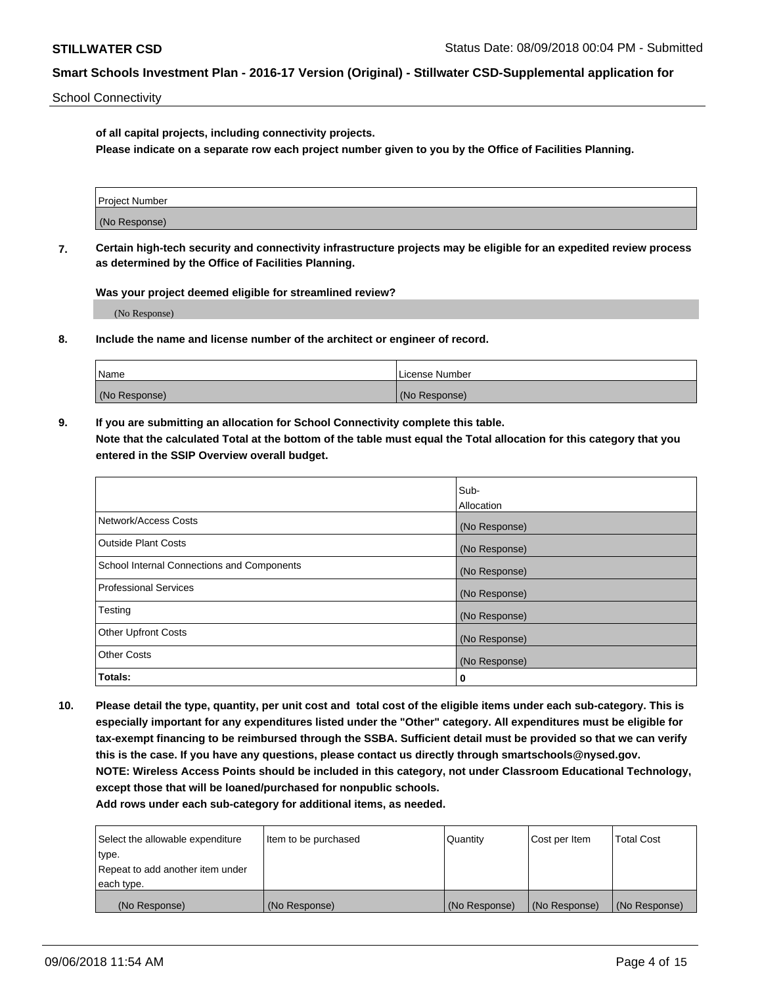School Connectivity

**of all capital projects, including connectivity projects.**

**Please indicate on a separate row each project number given to you by the Office of Facilities Planning.**

| Project Number |  |
|----------------|--|
|                |  |
|                |  |
| (No Response)  |  |
|                |  |

**7. Certain high-tech security and connectivity infrastructure projects may be eligible for an expedited review process as determined by the Office of Facilities Planning.**

**Was your project deemed eligible for streamlined review?**

(No Response)

**8. Include the name and license number of the architect or engineer of record.**

| Name          | License Number |
|---------------|----------------|
| (No Response) | (No Response)  |

**9. If you are submitting an allocation for School Connectivity complete this table. Note that the calculated Total at the bottom of the table must equal the Total allocation for this category that you entered in the SSIP Overview overall budget.** 

|                                            | Sub-              |
|--------------------------------------------|-------------------|
|                                            | <b>Allocation</b> |
| Network/Access Costs                       | (No Response)     |
| <b>Outside Plant Costs</b>                 | (No Response)     |
| School Internal Connections and Components | (No Response)     |
| <b>Professional Services</b>               | (No Response)     |
| Testing                                    | (No Response)     |
| <b>Other Upfront Costs</b>                 | (No Response)     |
| <b>Other Costs</b>                         | (No Response)     |
| Totals:                                    | 0                 |

**10. Please detail the type, quantity, per unit cost and total cost of the eligible items under each sub-category. This is especially important for any expenditures listed under the "Other" category. All expenditures must be eligible for tax-exempt financing to be reimbursed through the SSBA. Sufficient detail must be provided so that we can verify this is the case. If you have any questions, please contact us directly through smartschools@nysed.gov. NOTE: Wireless Access Points should be included in this category, not under Classroom Educational Technology, except those that will be loaned/purchased for nonpublic schools.**

| Select the allowable expenditure | Item to be purchased | Quantity      | <b>Cost per Item</b> | <b>Total Cost</b> |
|----------------------------------|----------------------|---------------|----------------------|-------------------|
| type.                            |                      |               |                      |                   |
| Repeat to add another item under |                      |               |                      |                   |
| each type.                       |                      |               |                      |                   |
| (No Response)                    | (No Response)        | (No Response) | (No Response)        | (No Response)     |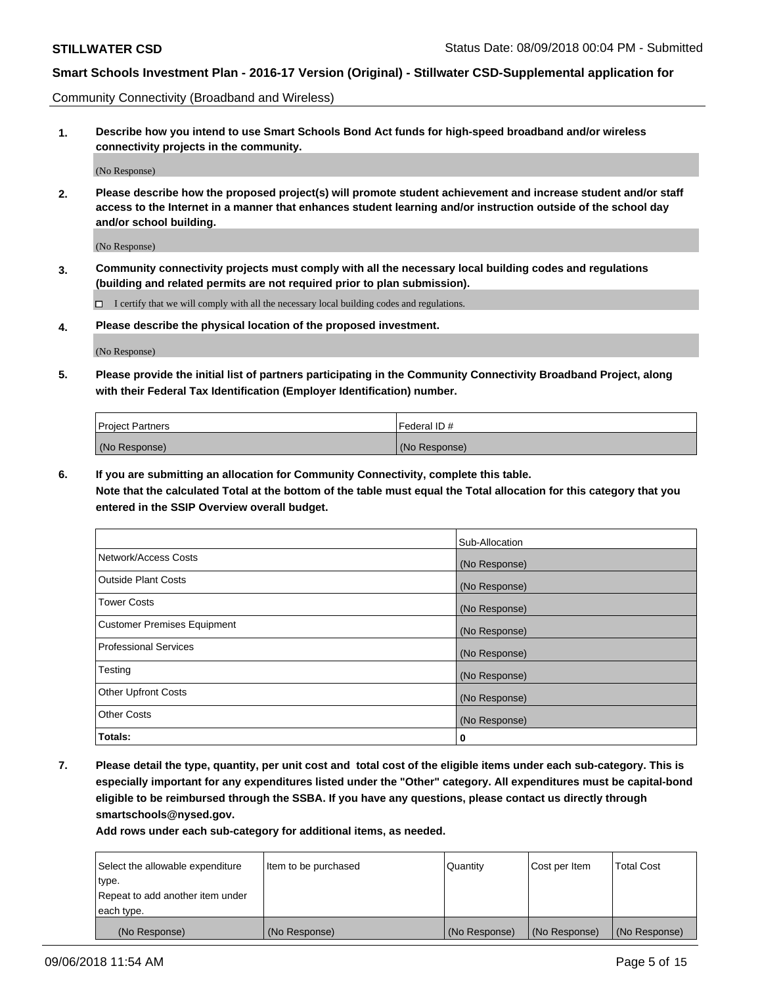Community Connectivity (Broadband and Wireless)

**1. Describe how you intend to use Smart Schools Bond Act funds for high-speed broadband and/or wireless connectivity projects in the community.**

(No Response)

**2. Please describe how the proposed project(s) will promote student achievement and increase student and/or staff access to the Internet in a manner that enhances student learning and/or instruction outside of the school day and/or school building.**

(No Response)

**3. Community connectivity projects must comply with all the necessary local building codes and regulations (building and related permits are not required prior to plan submission).**

 $\Box$  I certify that we will comply with all the necessary local building codes and regulations.

**4. Please describe the physical location of the proposed investment.**

(No Response)

**5. Please provide the initial list of partners participating in the Community Connectivity Broadband Project, along with their Federal Tax Identification (Employer Identification) number.**

| <b>Project Partners</b> | Federal ID#   |
|-------------------------|---------------|
| (No Response)           | (No Response) |

**6. If you are submitting an allocation for Community Connectivity, complete this table.**

**Note that the calculated Total at the bottom of the table must equal the Total allocation for this category that you entered in the SSIP Overview overall budget.**

|                                    | Sub-Allocation |
|------------------------------------|----------------|
| Network/Access Costs               | (No Response)  |
| <b>Outside Plant Costs</b>         | (No Response)  |
| <b>Tower Costs</b>                 | (No Response)  |
| <b>Customer Premises Equipment</b> | (No Response)  |
| <b>Professional Services</b>       | (No Response)  |
| Testing                            | (No Response)  |
| <b>Other Upfront Costs</b>         | (No Response)  |
| <b>Other Costs</b>                 | (No Response)  |
| Totals:                            | 0              |

**7. Please detail the type, quantity, per unit cost and total cost of the eligible items under each sub-category. This is especially important for any expenditures listed under the "Other" category. All expenditures must be capital-bond eligible to be reimbursed through the SSBA. If you have any questions, please contact us directly through smartschools@nysed.gov.**

| Select the allowable expenditure | Item to be purchased | Quantity      | Cost per Item | <b>Total Cost</b> |
|----------------------------------|----------------------|---------------|---------------|-------------------|
| type.                            |                      |               |               |                   |
| Repeat to add another item under |                      |               |               |                   |
| each type.                       |                      |               |               |                   |
| (No Response)                    | (No Response)        | (No Response) | (No Response) | (No Response)     |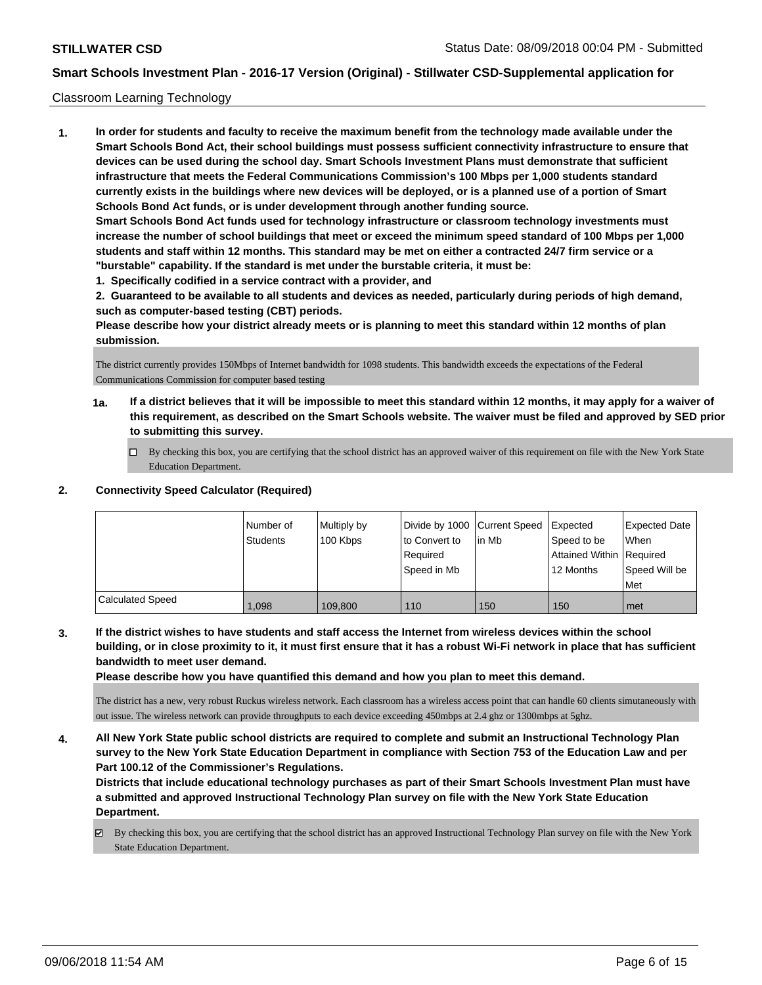### Classroom Learning Technology

**1. In order for students and faculty to receive the maximum benefit from the technology made available under the Smart Schools Bond Act, their school buildings must possess sufficient connectivity infrastructure to ensure that devices can be used during the school day. Smart Schools Investment Plans must demonstrate that sufficient infrastructure that meets the Federal Communications Commission's 100 Mbps per 1,000 students standard currently exists in the buildings where new devices will be deployed, or is a planned use of a portion of Smart Schools Bond Act funds, or is under development through another funding source. Smart Schools Bond Act funds used for technology infrastructure or classroom technology investments must increase the number of school buildings that meet or exceed the minimum speed standard of 100 Mbps per 1,000 students and staff within 12 months. This standard may be met on either a contracted 24/7 firm service or a "burstable" capability. If the standard is met under the burstable criteria, it must be:**

**1. Specifically codified in a service contract with a provider, and**

**2. Guaranteed to be available to all students and devices as needed, particularly during periods of high demand, such as computer-based testing (CBT) periods.**

**Please describe how your district already meets or is planning to meet this standard within 12 months of plan submission.**

The district currently provides 150Mbps of Internet bandwidth for 1098 students. This bandwidth exceeds the expectations of the Federal Communications Commission for computer based testing

- **1a. If a district believes that it will be impossible to meet this standard within 12 months, it may apply for a waiver of this requirement, as described on the Smart Schools website. The waiver must be filed and approved by SED prior to submitting this survey.**
	- By checking this box, you are certifying that the school district has an approved waiver of this requirement on file with the New York State Education Department.

## **2. Connectivity Speed Calculator (Required)**

|                         | l Number of<br>Students | Multiply by<br>100 Kbps | Divide by 1000 Current Speed<br>to Convert to<br>Required<br>Speed in Mb | in Mb | Expected<br>Speed to be<br>Attained Within Required<br>12 Months | <b>Expected Date</b><br><b>When</b><br>Speed Will be<br>l Met |
|-------------------------|-------------------------|-------------------------|--------------------------------------------------------------------------|-------|------------------------------------------------------------------|---------------------------------------------------------------|
| <b>Calculated Speed</b> | 1.098                   | 109.800                 | 110                                                                      | 150   | 150                                                              | met                                                           |

**3. If the district wishes to have students and staff access the Internet from wireless devices within the school building, or in close proximity to it, it must first ensure that it has a robust Wi-Fi network in place that has sufficient bandwidth to meet user demand.**

**Please describe how you have quantified this demand and how you plan to meet this demand.**

The district has a new, very robust Ruckus wireless network. Each classroom has a wireless access point that can handle 60 clients simutaneously with out issue. The wireless network can provide throughputs to each device exceeding 450mbps at 2.4 ghz or 1300mbps at 5ghz.

**4. All New York State public school districts are required to complete and submit an Instructional Technology Plan survey to the New York State Education Department in compliance with Section 753 of the Education Law and per Part 100.12 of the Commissioner's Regulations.**

**Districts that include educational technology purchases as part of their Smart Schools Investment Plan must have a submitted and approved Instructional Technology Plan survey on file with the New York State Education Department.**

By checking this box, you are certifying that the school district has an approved Instructional Technology Plan survey on file with the New York State Education Department.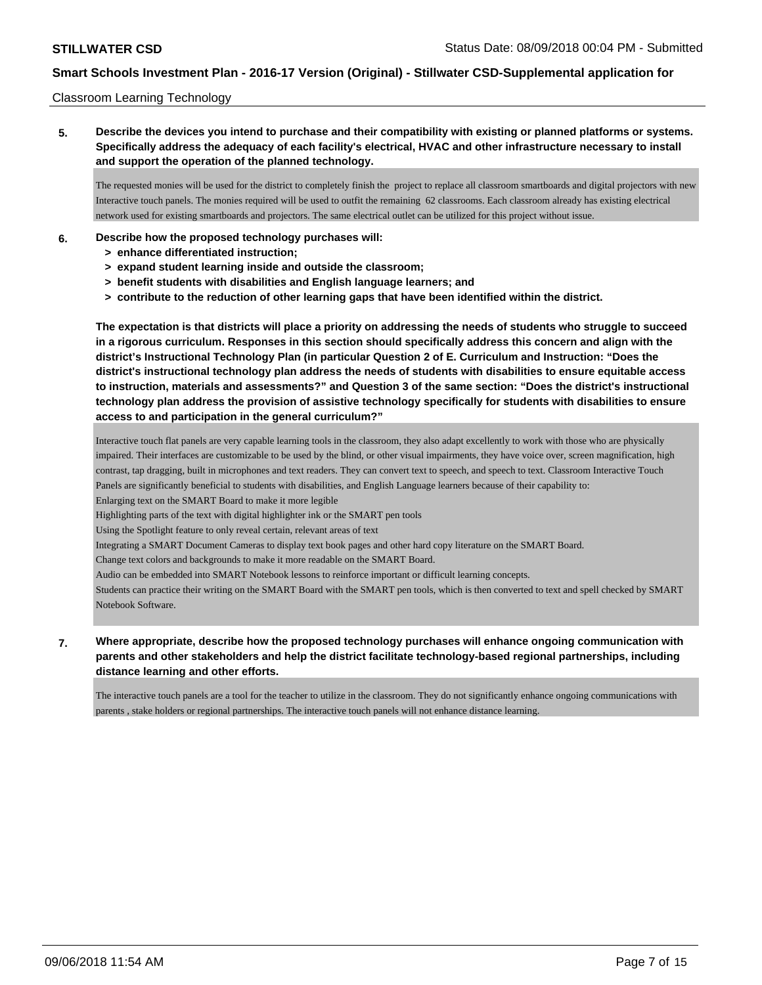### Classroom Learning Technology

**5. Describe the devices you intend to purchase and their compatibility with existing or planned platforms or systems. Specifically address the adequacy of each facility's electrical, HVAC and other infrastructure necessary to install and support the operation of the planned technology.**

The requested monies will be used for the district to completely finish the project to replace all classroom smartboards and digital projectors with new Interactive touch panels. The monies required will be used to outfit the remaining 62 classrooms. Each classroom already has existing electrical network used for existing smartboards and projectors. The same electrical outlet can be utilized for this project without issue.

- **6. Describe how the proposed technology purchases will:**
	- **> enhance differentiated instruction;**
	- **> expand student learning inside and outside the classroom;**
	- **> benefit students with disabilities and English language learners; and**
	- **> contribute to the reduction of other learning gaps that have been identified within the district.**

**The expectation is that districts will place a priority on addressing the needs of students who struggle to succeed in a rigorous curriculum. Responses in this section should specifically address this concern and align with the district's Instructional Technology Plan (in particular Question 2 of E. Curriculum and Instruction: "Does the district's instructional technology plan address the needs of students with disabilities to ensure equitable access to instruction, materials and assessments?" and Question 3 of the same section: "Does the district's instructional technology plan address the provision of assistive technology specifically for students with disabilities to ensure access to and participation in the general curriculum?"**

Interactive touch flat panels are very capable learning tools in the classroom, they also adapt excellently to work with those who are physically impaired. Their interfaces are customizable to be used by the blind, or other visual impairments, they have voice over, screen magnification, high contrast, tap dragging, built in microphones and text readers. They can convert text to speech, and speech to text. Classroom Interactive Touch Panels are significantly beneficial to students with disabilities, and English Language learners because of their capability to:

Enlarging text on the SMART Board to make it more legible

Highlighting parts of the text with digital highlighter ink or the SMART pen tools

Using the Spotlight feature to only reveal certain, relevant areas of text

Integrating a SMART Document Cameras to display text book pages and other hard copy literature on the SMART Board.

Change text colors and backgrounds to make it more readable on the SMART Board.

Audio can be embedded into SMART Notebook lessons to reinforce important or difficult learning concepts.

Students can practice their writing on the SMART Board with the SMART pen tools, which is then converted to text and spell checked by SMART Notebook Software.

### **7. Where appropriate, describe how the proposed technology purchases will enhance ongoing communication with parents and other stakeholders and help the district facilitate technology-based regional partnerships, including distance learning and other efforts.**

The interactive touch panels are a tool for the teacher to utilize in the classroom. They do not significantly enhance ongoing communications with parents , stake holders or regional partnerships. The interactive touch panels will not enhance distance learning.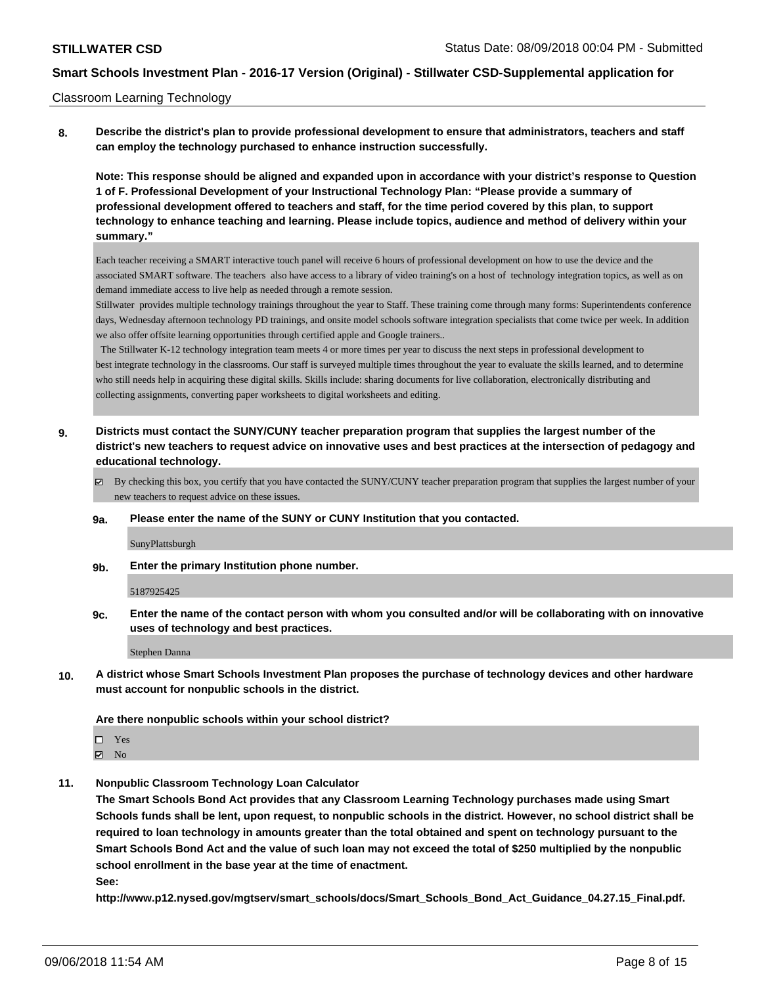### Classroom Learning Technology

**8. Describe the district's plan to provide professional development to ensure that administrators, teachers and staff can employ the technology purchased to enhance instruction successfully.**

**Note: This response should be aligned and expanded upon in accordance with your district's response to Question 1 of F. Professional Development of your Instructional Technology Plan: "Please provide a summary of professional development offered to teachers and staff, for the time period covered by this plan, to support technology to enhance teaching and learning. Please include topics, audience and method of delivery within your summary."**

Each teacher receiving a SMART interactive touch panel will receive 6 hours of professional development on how to use the device and the associated SMART software. The teachers also have access to a library of video training's on a host of technology integration topics, as well as on demand immediate access to live help as needed through a remote session.

Stillwater provides multiple technology trainings throughout the year to Staff. These training come through many forms: Superintendents conference days, Wednesday afternoon technology PD trainings, and onsite model schools software integration specialists that come twice per week. In addition we also offer offsite learning opportunities through certified apple and Google trainers..

 The Stillwater K-12 technology integration team meets 4 or more times per year to discuss the next steps in professional development to best integrate technology in the classrooms. Our staff is surveyed multiple times throughout the year to evaluate the skills learned, and to determine who still needs help in acquiring these digital skills. Skills include: sharing documents for live collaboration, electronically distributing and collecting assignments, converting paper worksheets to digital worksheets and editing.

- **9. Districts must contact the SUNY/CUNY teacher preparation program that supplies the largest number of the district's new teachers to request advice on innovative uses and best practices at the intersection of pedagogy and educational technology.**
	- By checking this box, you certify that you have contacted the SUNY/CUNY teacher preparation program that supplies the largest number of your new teachers to request advice on these issues.
	- **9a. Please enter the name of the SUNY or CUNY Institution that you contacted.**

SunyPlattsburgh

**9b. Enter the primary Institution phone number.**

5187925425

**9c. Enter the name of the contact person with whom you consulted and/or will be collaborating with on innovative uses of technology and best practices.**

Stephen Danna

**10. A district whose Smart Schools Investment Plan proposes the purchase of technology devices and other hardware must account for nonpublic schools in the district.**

### **Are there nonpublic schools within your school district?**

□ Yes

 $\boxtimes$  No

**11. Nonpublic Classroom Technology Loan Calculator**

**The Smart Schools Bond Act provides that any Classroom Learning Technology purchases made using Smart Schools funds shall be lent, upon request, to nonpublic schools in the district. However, no school district shall be required to loan technology in amounts greater than the total obtained and spent on technology pursuant to the Smart Schools Bond Act and the value of such loan may not exceed the total of \$250 multiplied by the nonpublic school enrollment in the base year at the time of enactment. See:**

**http://www.p12.nysed.gov/mgtserv/smart\_schools/docs/Smart\_Schools\_Bond\_Act\_Guidance\_04.27.15\_Final.pdf.**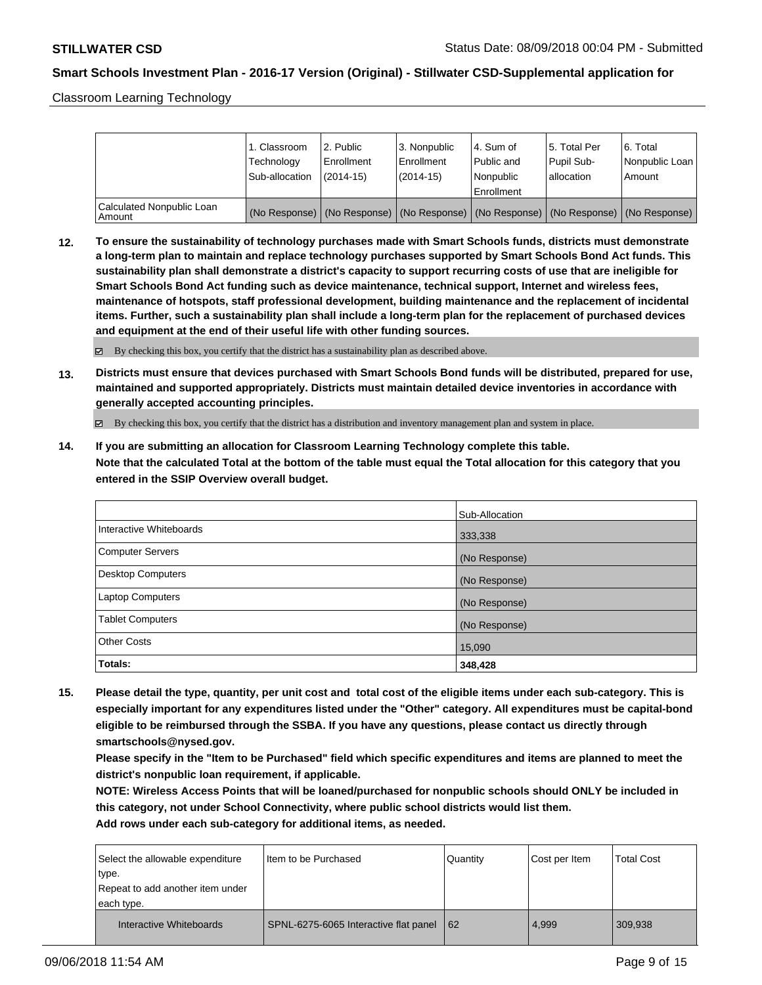Classroom Learning Technology

|                                     | 1. Classroom<br>Technology<br>Sub-allocation | l 2. Public<br>Enrollment<br>$(2014 - 15)$ | 3. Nonpublic<br>Enrollment<br>$(2014-15)$ | l 4. Sum of<br>Public and<br>l Nonpublic                                                      | 15. Total Per<br>Pupil Sub-<br>lallocation | 6. Total<br>Nonpublic Loan  <br>Amount |
|-------------------------------------|----------------------------------------------|--------------------------------------------|-------------------------------------------|-----------------------------------------------------------------------------------------------|--------------------------------------------|----------------------------------------|
|                                     |                                              |                                            |                                           | Enrollment                                                                                    |                                            |                                        |
| Calculated Nonpublic Loan<br>Amount |                                              |                                            |                                           | (No Response)   (No Response)   (No Response)   (No Response)   (No Response)   (No Response) |                                            |                                        |

**12. To ensure the sustainability of technology purchases made with Smart Schools funds, districts must demonstrate a long-term plan to maintain and replace technology purchases supported by Smart Schools Bond Act funds. This sustainability plan shall demonstrate a district's capacity to support recurring costs of use that are ineligible for Smart Schools Bond Act funding such as device maintenance, technical support, Internet and wireless fees, maintenance of hotspots, staff professional development, building maintenance and the replacement of incidental items. Further, such a sustainability plan shall include a long-term plan for the replacement of purchased devices and equipment at the end of their useful life with other funding sources.**

 $\boxtimes$  By checking this box, you certify that the district has a sustainability plan as described above.

**13. Districts must ensure that devices purchased with Smart Schools Bond funds will be distributed, prepared for use, maintained and supported appropriately. Districts must maintain detailed device inventories in accordance with generally accepted accounting principles.**

By checking this box, you certify that the district has a distribution and inventory management plan and system in place.

**14. If you are submitting an allocation for Classroom Learning Technology complete this table. Note that the calculated Total at the bottom of the table must equal the Total allocation for this category that you entered in the SSIP Overview overall budget.**

|                         | Sub-Allocation |
|-------------------------|----------------|
| Interactive Whiteboards | 333,338        |
| Computer Servers        | (No Response)  |
| Desktop Computers       | (No Response)  |
| <b>Laptop Computers</b> | (No Response)  |
| <b>Tablet Computers</b> | (No Response)  |
| <b>Other Costs</b>      | 15,090         |
| <b>Totals:</b>          | 348,428        |

**15. Please detail the type, quantity, per unit cost and total cost of the eligible items under each sub-category. This is especially important for any expenditures listed under the "Other" category. All expenditures must be capital-bond eligible to be reimbursed through the SSBA. If you have any questions, please contact us directly through smartschools@nysed.gov.**

**Please specify in the "Item to be Purchased" field which specific expenditures and items are planned to meet the district's nonpublic loan requirement, if applicable.**

**NOTE: Wireless Access Points that will be loaned/purchased for nonpublic schools should ONLY be included in this category, not under School Connectivity, where public school districts would list them.**

| Select the allowable expenditure<br>type.<br>Repeat to add another item under<br>each type. | I Item to be Purchased                | Quantity | Cost per Item | <b>Total Cost</b> |
|---------------------------------------------------------------------------------------------|---------------------------------------|----------|---------------|-------------------|
| Interactive Whiteboards                                                                     | SPNL-6275-6065 Interactive flat panel | 62       | 4,999         | 309,938           |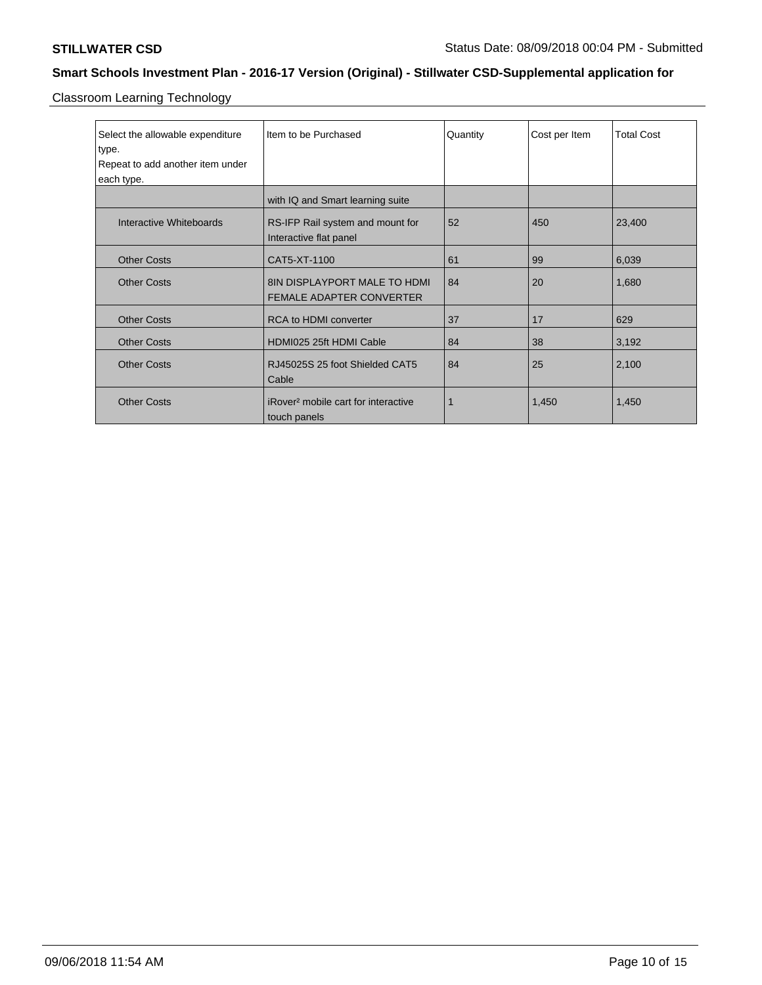Classroom Learning Technology

| Select the allowable expenditure | Item to be Purchased                                            | Quantity | Cost per Item | <b>Total Cost</b> |
|----------------------------------|-----------------------------------------------------------------|----------|---------------|-------------------|
| type.                            |                                                                 |          |               |                   |
| Repeat to add another item under |                                                                 |          |               |                   |
| each type.                       |                                                                 |          |               |                   |
|                                  | with IQ and Smart learning suite                                |          |               |                   |
| Interactive Whiteboards          | RS-IFP Rail system and mount for<br>Interactive flat panel      | 52       | 450           | 23,400            |
| <b>Other Costs</b>               | CAT5-XT-1100                                                    | 61       | 99            | 6,039             |
| <b>Other Costs</b>               | 8IN DISPLAYPORT MALE TO HDMI<br><b>FEMALE ADAPTER CONVERTER</b> | 84       | 20            | 1,680             |
| <b>Other Costs</b>               | RCA to HDMI converter                                           | 37       | 17            | 629               |
| <b>Other Costs</b>               | HDMI025 25ft HDMI Cable                                         | 84       | 38            | 3,192             |
| <b>Other Costs</b>               | RJ45025S 25 foot Shielded CAT5<br>Cable                         | 84       | 25            | 2,100             |
| <b>Other Costs</b>               | iRover <sup>2</sup> mobile cart for interactive<br>touch panels | 1        | 1,450         | 1,450             |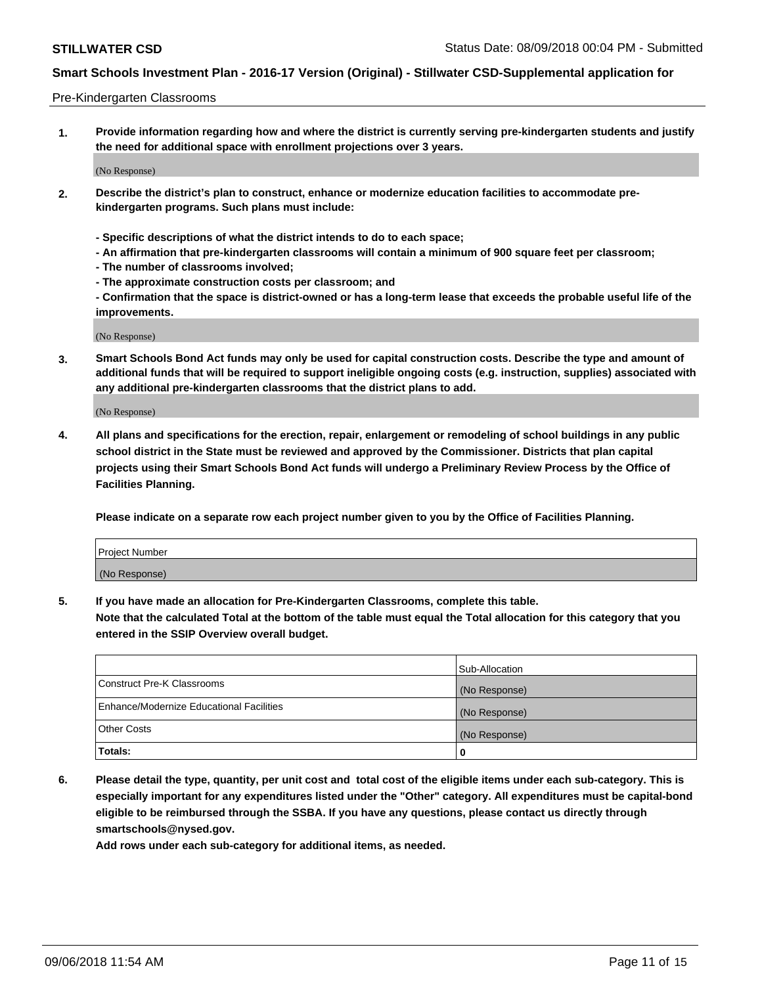### Pre-Kindergarten Classrooms

**1. Provide information regarding how and where the district is currently serving pre-kindergarten students and justify the need for additional space with enrollment projections over 3 years.**

(No Response)

- **2. Describe the district's plan to construct, enhance or modernize education facilities to accommodate prekindergarten programs. Such plans must include:**
	- **Specific descriptions of what the district intends to do to each space;**
	- **An affirmation that pre-kindergarten classrooms will contain a minimum of 900 square feet per classroom;**
	- **The number of classrooms involved;**
	- **The approximate construction costs per classroom; and**
	- **Confirmation that the space is district-owned or has a long-term lease that exceeds the probable useful life of the improvements.**

(No Response)

**3. Smart Schools Bond Act funds may only be used for capital construction costs. Describe the type and amount of additional funds that will be required to support ineligible ongoing costs (e.g. instruction, supplies) associated with any additional pre-kindergarten classrooms that the district plans to add.**

(No Response)

**4. All plans and specifications for the erection, repair, enlargement or remodeling of school buildings in any public school district in the State must be reviewed and approved by the Commissioner. Districts that plan capital projects using their Smart Schools Bond Act funds will undergo a Preliminary Review Process by the Office of Facilities Planning.**

**Please indicate on a separate row each project number given to you by the Office of Facilities Planning.**

| Project Number |  |
|----------------|--|
| (No Response)  |  |
|                |  |

**5. If you have made an allocation for Pre-Kindergarten Classrooms, complete this table.**

**Note that the calculated Total at the bottom of the table must equal the Total allocation for this category that you entered in the SSIP Overview overall budget.**

|                                          | Sub-Allocation |
|------------------------------------------|----------------|
| Construct Pre-K Classrooms               | (No Response)  |
| Enhance/Modernize Educational Facilities | (No Response)  |
| <b>Other Costs</b>                       | (No Response)  |
| Totals:                                  | 0              |

**6. Please detail the type, quantity, per unit cost and total cost of the eligible items under each sub-category. This is especially important for any expenditures listed under the "Other" category. All expenditures must be capital-bond eligible to be reimbursed through the SSBA. If you have any questions, please contact us directly through smartschools@nysed.gov.**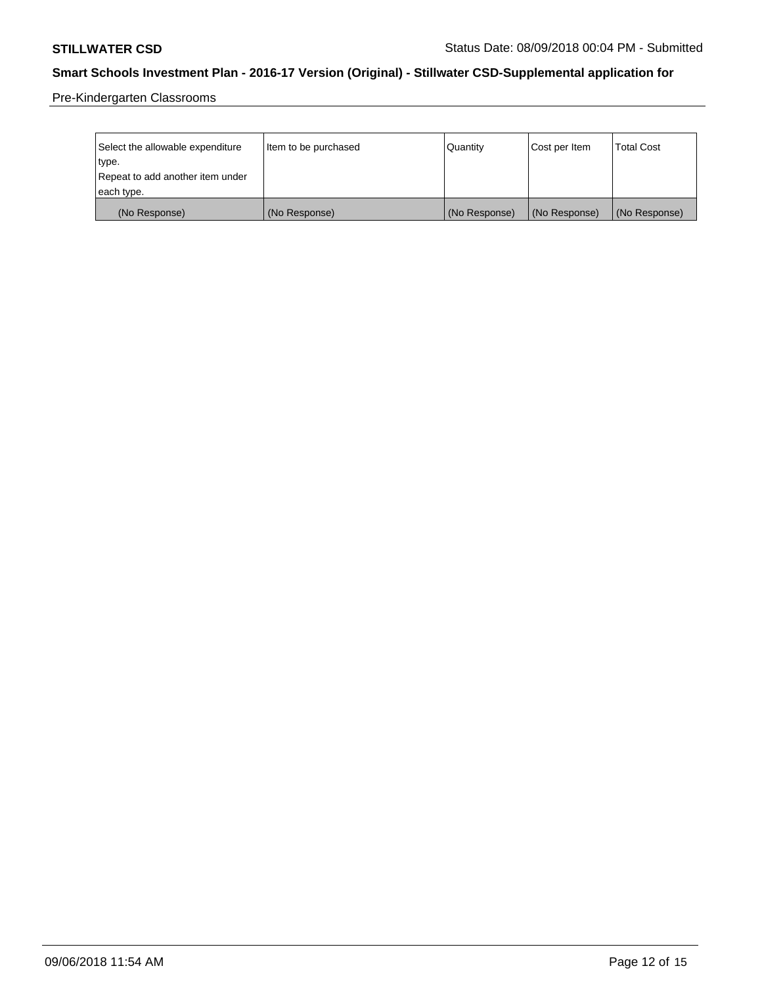Pre-Kindergarten Classrooms

| Select the allowable expenditure | Item to be purchased | Quantity      | Cost per Item | <b>Total Cost</b> |
|----------------------------------|----------------------|---------------|---------------|-------------------|
| type.                            |                      |               |               |                   |
| Repeat to add another item under |                      |               |               |                   |
| each type.                       |                      |               |               |                   |
| (No Response)                    | (No Response)        | (No Response) | (No Response) | (No Response)     |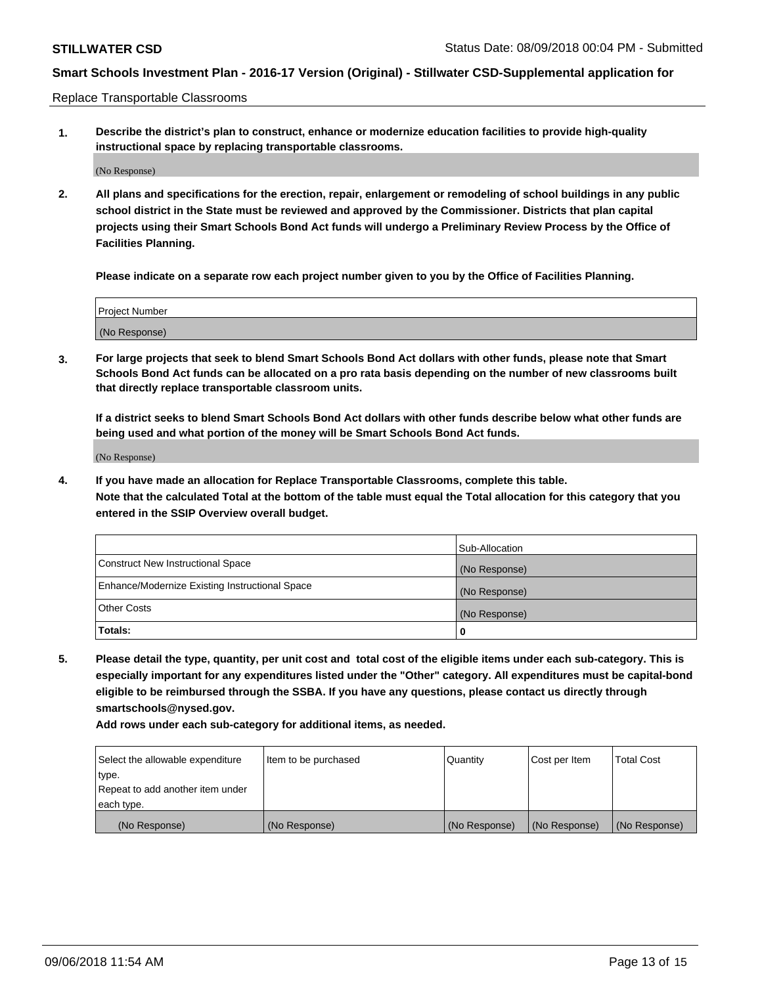Replace Transportable Classrooms

**1. Describe the district's plan to construct, enhance or modernize education facilities to provide high-quality instructional space by replacing transportable classrooms.**

(No Response)

**2. All plans and specifications for the erection, repair, enlargement or remodeling of school buildings in any public school district in the State must be reviewed and approved by the Commissioner. Districts that plan capital projects using their Smart Schools Bond Act funds will undergo a Preliminary Review Process by the Office of Facilities Planning.**

**Please indicate on a separate row each project number given to you by the Office of Facilities Planning.**

| Project Number |  |
|----------------|--|
|                |  |
|                |  |
|                |  |
|                |  |
| (No Response)  |  |
|                |  |
|                |  |
|                |  |

**3. For large projects that seek to blend Smart Schools Bond Act dollars with other funds, please note that Smart Schools Bond Act funds can be allocated on a pro rata basis depending on the number of new classrooms built that directly replace transportable classroom units.**

**If a district seeks to blend Smart Schools Bond Act dollars with other funds describe below what other funds are being used and what portion of the money will be Smart Schools Bond Act funds.**

(No Response)

**4. If you have made an allocation for Replace Transportable Classrooms, complete this table. Note that the calculated Total at the bottom of the table must equal the Total allocation for this category that you entered in the SSIP Overview overall budget.**

|                                                | Sub-Allocation |
|------------------------------------------------|----------------|
| Construct New Instructional Space              | (No Response)  |
| Enhance/Modernize Existing Instructional Space | (No Response)  |
| <b>Other Costs</b>                             | (No Response)  |
| Totals:                                        | 0              |

**5. Please detail the type, quantity, per unit cost and total cost of the eligible items under each sub-category. This is especially important for any expenditures listed under the "Other" category. All expenditures must be capital-bond eligible to be reimbursed through the SSBA. If you have any questions, please contact us directly through smartschools@nysed.gov.**

| Select the allowable expenditure | Item to be purchased | l Quantitv    | Cost per Item | <b>Total Cost</b> |
|----------------------------------|----------------------|---------------|---------------|-------------------|
| type.                            |                      |               |               |                   |
| Repeat to add another item under |                      |               |               |                   |
| each type.                       |                      |               |               |                   |
| (No Response)                    | (No Response)        | (No Response) | (No Response) | (No Response)     |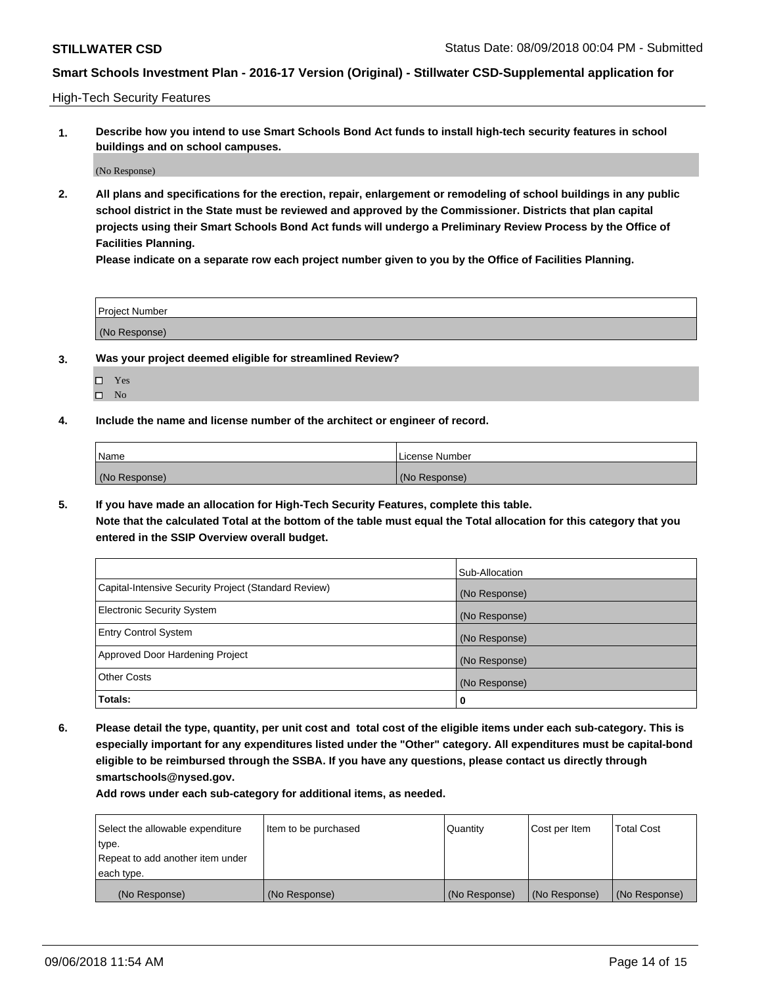High-Tech Security Features

**1. Describe how you intend to use Smart Schools Bond Act funds to install high-tech security features in school buildings and on school campuses.**

(No Response)

**2. All plans and specifications for the erection, repair, enlargement or remodeling of school buildings in any public school district in the State must be reviewed and approved by the Commissioner. Districts that plan capital projects using their Smart Schools Bond Act funds will undergo a Preliminary Review Process by the Office of Facilities Planning.** 

**Please indicate on a separate row each project number given to you by the Office of Facilities Planning.**

| <b>Project Number</b> |  |
|-----------------------|--|
| (No Response)         |  |

- **3. Was your project deemed eligible for streamlined Review?**
	- Yes
	- $\square$  No
- **4. Include the name and license number of the architect or engineer of record.**

| <b>Name</b>   | License Number |
|---------------|----------------|
| (No Response) | (No Response)  |

**5. If you have made an allocation for High-Tech Security Features, complete this table.**

**Note that the calculated Total at the bottom of the table must equal the Total allocation for this category that you entered in the SSIP Overview overall budget.**

|                                                      | Sub-Allocation |
|------------------------------------------------------|----------------|
| Capital-Intensive Security Project (Standard Review) | (No Response)  |
| <b>Electronic Security System</b>                    | (No Response)  |
| <b>Entry Control System</b>                          | (No Response)  |
| Approved Door Hardening Project                      | (No Response)  |
| <b>Other Costs</b>                                   | (No Response)  |
| Totals:                                              | 0              |

**6. Please detail the type, quantity, per unit cost and total cost of the eligible items under each sub-category. This is especially important for any expenditures listed under the "Other" category. All expenditures must be capital-bond eligible to be reimbursed through the SSBA. If you have any questions, please contact us directly through smartschools@nysed.gov.**

| Select the allowable expenditure | Item to be purchased | Quantity      | Cost per Item | <b>Total Cost</b> |
|----------------------------------|----------------------|---------------|---------------|-------------------|
| type.                            |                      |               |               |                   |
| Repeat to add another item under |                      |               |               |                   |
| each type.                       |                      |               |               |                   |
| (No Response)                    | (No Response)        | (No Response) | (No Response) | (No Response)     |